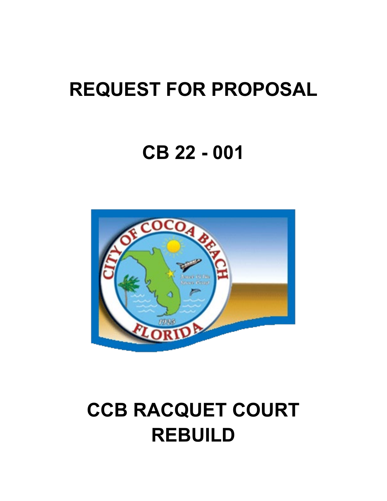# **REQUEST FOR PROPOSAL**

# **CB 22 - 001**



# **CCB RACQUET COURT REBUILD**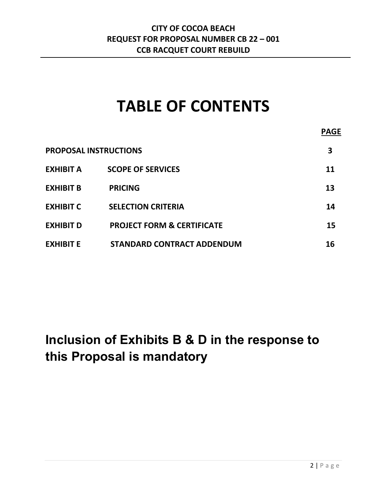# **TABLE OF CONTENTS**

# **Inclusion of Exhibits B & D in the response to this Proposal is mandatory**

**PAGE**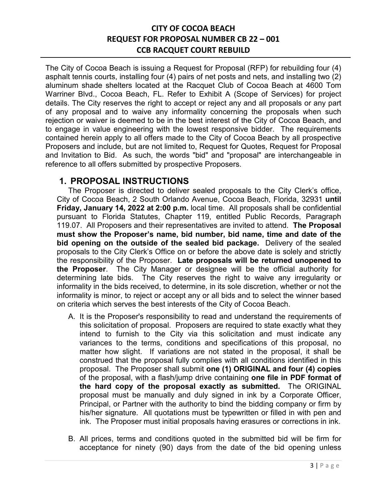The City of Cocoa Beach is issuing a Request for Proposal (RFP) for rebuilding four (4) asphalt tennis courts, installing four (4) pairs of net posts and nets, and installing two (2) aluminum shade shelters located at the Racquet Club of Cocoa Beach at 4600 Tom Warriner Blvd., Cocoa Beach, FL. Refer to Exhibit A (Scope of Services) for project details. The City reserves the right to accept or reject any and all proposals or any part of any proposal and to waive any informality concerning the proposals when such rejection or waiver is deemed to be in the best interest of the City of Cocoa Beach, and to engage in value engineering with the lowest responsive bidder. The requirements contained herein apply to all offers made to the City of Cocoa Beach by all prospective Proposers and include, but are not limited to, Request for Quotes, Request for Proposal and Invitation to Bid. As such, the words "bid" and "proposal" are interchangeable in reference to all offers submitted by prospective Proposers.

### **1. PROPOSAL INSTRUCTIONS**

The Proposer is directed to deliver sealed proposals to the City Clerk's office, City of Cocoa Beach, 2 South Orlando Avenue, Cocoa Beach, Florida, 32931 **until Friday, January 14, 2022 at 2:00 p.m.** local time. All proposals shall be confidential pursuant to Florida Statutes, Chapter 119, entitled Public Records, Paragraph 119.07. All Proposers and their representatives are invited to attend. **The Proposal must show the Proposer's name, bid number, bid name, time and date of the bid opening on the outside of the sealed bid package.** Delivery of the sealed proposals to the City Clerk's Office on or before the above date is solely and strictly the responsibility of the Proposer. **Late proposals will be returned unopened to the Proposer**. The City Manager or designee will be the official authority for determining late bids. The City reserves the right to waive any irregularity or informality in the bids received, to determine, in its sole discretion, whether or not the informality is minor, to reject or accept any or all bids and to select the winner based on criteria which serves the best interests of the City of Cocoa Beach.

- A. It is the Proposer's responsibility to read and understand the requirements of this solicitation of proposal. Proposers are required to state exactly what they intend to furnish to the City via this solicitation and must indicate any variances to the terms, conditions and specifications of this proposal, no matter how slight. If variations are not stated in the proposal, it shall be construed that the proposal fully complies with all conditions identified in this proposal. The Proposer shall submit **one (1) ORIGINAL and four (4) copies** of the proposal, with a flash/jump drive containing **one file in PDF format of the hard copy of the proposal exactly as submitted.** The ORIGINAL proposal must be manually and duly signed in ink by a Corporate Officer, Principal, or Partner with the authority to bind the bidding company or firm by his/her signature. All quotations must be typewritten or filled in with pen and ink. The Proposer must initial proposals having erasures or corrections in ink.
- B. All prices, terms and conditions quoted in the submitted bid will be firm for acceptance for ninety (90) days from the date of the bid opening unless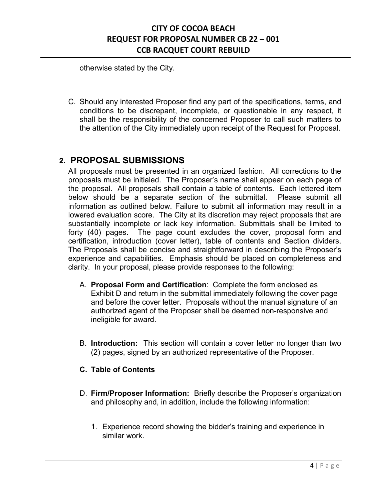otherwise stated by the City.

C. Should any interested Proposer find any part of the specifications, terms, and conditions to be discrepant, incomplete, or questionable in any respect, it shall be the responsibility of the concerned Proposer to call such matters to the attention of the City immediately upon receipt of the Request for Proposal.

### **2. PROPOSAL SUBMISSIONS**

All proposals must be presented in an organized fashion. All corrections to the proposals must be initialed. The Proposer's name shall appear on each page of the proposal. All proposals shall contain a table of contents. Each lettered item below should be a separate section of the submittal. Please submit all information as outlined below. Failure to submit all information may result in a lowered evaluation score. The City at its discretion may reject proposals that are substantially incomplete or lack key information. Submittals shall be limited to forty (40) pages. The page count excludes the cover, proposal form and certification, introduction (cover letter), table of contents and Section dividers. The Proposals shall be concise and straightforward in describing the Proposer's experience and capabilities. Emphasis should be placed on completeness and clarity. In your proposal, please provide responses to the following:

- A. **Proposal Form and Certification**: Complete the form enclosed as Exhibit D and return in the submittal immediately following the cover page and before the cover letter. Proposals without the manual signature of an authorized agent of the Proposer shall be deemed non-responsive and ineligible for award.
- B. **Introduction:** This section will contain a cover letter no longer than two (2) pages, signed by an authorized representative of the Proposer.
- **C. Table of Contents**
- D. **Firm/Proposer Information:** Briefly describe the Proposer's organization and philosophy and, in addition, include the following information:
	- 1. Experience record showing the bidder's training and experience in similar work.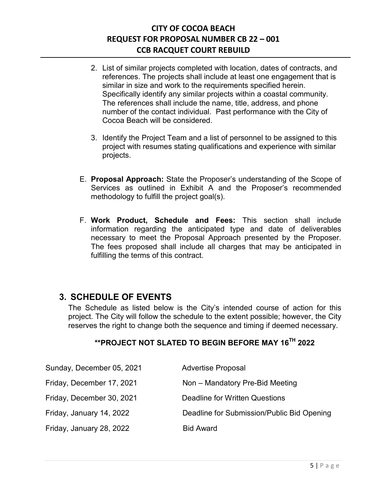- 2. List of similar projects completed with location, dates of contracts, and references. The projects shall include at least one engagement that is similar in size and work to the requirements specified herein. Specifically identify any similar projects within a coastal community. The references shall include the name, title, address, and phone number of the contact individual. Past performance with the City of Cocoa Beach will be considered.
- 3. Identify the Project Team and a list of personnel to be assigned to this project with resumes stating qualifications and experience with similar projects.
- E. **Proposal Approach:** State the Proposer's understanding of the Scope of Services as outlined in Exhibit A and the Proposer's recommended methodology to fulfill the project goal(s).
- F. **Work Product, Schedule and Fees:** This section shall include information regarding the anticipated type and date of deliverables necessary to meet the Proposal Approach presented by the Proposer. The fees proposed shall include all charges that may be anticipated in fulfilling the terms of this contract.

### **3. SCHEDULE OF EVENTS**

The Schedule as listed below is the City's intended course of action for this project. The City will follow the schedule to the extent possible; however, the City reserves the right to change both the sequence and timing if deemed necessary.

### **\*\*PROJECT NOT SLATED TO BEGIN BEFORE MAY 16TH 2022**

| Sunday, December 05, 2021 | <b>Advertise Proposal</b>                  |
|---------------------------|--------------------------------------------|
| Friday, December 17, 2021 | Non - Mandatory Pre-Bid Meeting            |
| Friday, December 30, 2021 | Deadline for Written Questions             |
| Friday, January 14, 2022  | Deadline for Submission/Public Bid Opening |
| Friday, January 28, 2022  | <b>Bid Award</b>                           |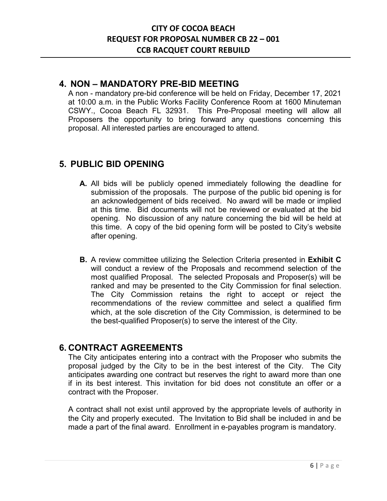### **4. NON – MANDATORY PRE-BID MEETING**

A non - mandatory pre-bid conference will be held on Friday, December 17, 2021 at 10:00 a.m. in the Public Works Facility Conference Room at 1600 Minuteman CSWY., Cocoa Beach FL 32931. This Pre-Proposal meeting will allow all Proposers the opportunity to bring forward any questions concerning this proposal. All interested parties are encouraged to attend.

### **5. PUBLIC BID OPENING**

- **A.** All bids will be publicly opened immediately following the deadline for submission of the proposals. The purpose of the public bid opening is for an acknowledgement of bids received. No award will be made or implied at this time. Bid documents will not be reviewed or evaluated at the bid opening. No discussion of any nature concerning the bid will be held at this time. A copy of the bid opening form will be posted to City's website after opening.
- **B.** A review committee utilizing the Selection Criteria presented in **Exhibit C** will conduct a review of the Proposals and recommend selection of the most qualified Proposal. The selected Proposals and Proposer(s) will be ranked and may be presented to the City Commission for final selection. The City Commission retains the right to accept or reject the recommendations of the review committee and select a qualified firm which, at the sole discretion of the City Commission, is determined to be the best-qualified Proposer(s) to serve the interest of the City.

### **6. CONTRACT AGREEMENTS**

The City anticipates entering into a contract with the Proposer who submits the proposal judged by the City to be in the best interest of the City. The City anticipates awarding one contract but reserves the right to award more than one if in its best interest. This invitation for bid does not constitute an offer or a contract with the Proposer.

A contract shall not exist until approved by the appropriate levels of authority in the City and properly executed. The Invitation to Bid shall be included in and be made a part of the final award. Enrollment in e-payables program is mandatory.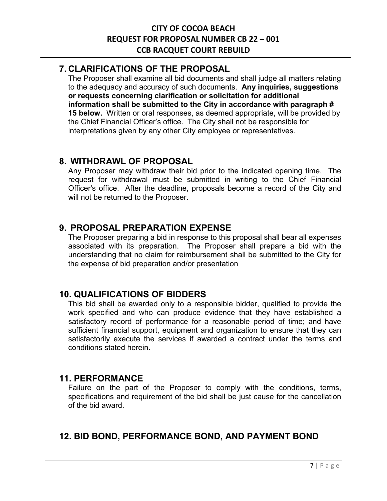### **7. CLARIFICATIONS OF THE PROPOSAL**

The Proposer shall examine all bid documents and shall judge all matters relating to the adequacy and accuracy of such documents. **Any inquiries, suggestions or requests concerning clarification or solicitation for additional information shall be submitted to the City in accordance with paragraph # 15 below.** Written or oral responses, as deemed appropriate, will be provided by the Chief Financial Officer's office. The City shall not be responsible for interpretations given by any other City employee or representatives.

### **8. WITHDRAWL OF PROPOSAL**

Any Proposer may withdraw their bid prior to the indicated opening time. The request for withdrawal must be submitted in writing to the Chief Financial Officer's office. After the deadline, proposals become a record of the City and will not be returned to the Proposer.

### **9. PROPOSAL PREPARATION EXPENSE**

The Proposer preparing a bid in response to this proposal shall bear all expenses associated with its preparation. The Proposer shall prepare a bid with the understanding that no claim for reimbursement shall be submitted to the City for the expense of bid preparation and/or presentation

### **10. QUALIFICATIONS OF BIDDERS**

This bid shall be awarded only to a responsible bidder, qualified to provide the work specified and who can produce evidence that they have established a satisfactory record of performance for a reasonable period of time; and have sufficient financial support, equipment and organization to ensure that they can satisfactorily execute the services if awarded a contract under the terms and conditions stated herein.

### **11. PERFORMANCE**

Failure on the part of the Proposer to comply with the conditions, terms, specifications and requirement of the bid shall be just cause for the cancellation of the bid award.

### **12. BID BOND, PERFORMANCE BOND, AND PAYMENT BOND**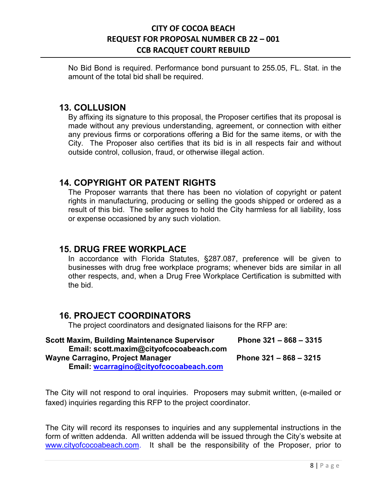No Bid Bond is required. Performance bond pursuant to 255.05, FL. Stat. in the amount of the total bid shall be required.

### **13. COLLUSION**

By affixing its signature to this proposal, the Proposer certifies that its proposal is made without any previous understanding, agreement, or connection with either any previous firms or corporations offering a Bid for the same items, or with the City. The Proposer also certifies that its bid is in all respects fair and without outside control, collusion, fraud, or otherwise illegal action.

### **14. COPYRIGHT OR PATENT RIGHTS**

The Proposer warrants that there has been no violation of copyright or patent rights in manufacturing, producing or selling the goods shipped or ordered as a result of this bid. The seller agrees to hold the City harmless for all liability, loss or expense occasioned by any such violation.

### **15. DRUG FREE WORKPLACE**

In accordance with Florida Statutes, §287.087, preference will be given to businesses with drug free workplace programs; whenever bids are similar in all other respects, and, when a Drug Free Workplace Certification is submitted with the bid.

### **16. PROJECT COORDINATORS**

The project coordinators and designated liaisons for the RFP are:

| <b>Scott Maxim, Building Maintenance Supervisor</b> | Phone $321 - 868 - 3315$ |
|-----------------------------------------------------|--------------------------|
| Email: scott.maxim@cityofcocoabeach.com             |                          |
| Wayne Carragino, Project Manager                    | Phone 321 - 868 - 3215   |
| Email: wcarragino@cityofcocoabeach.com              |                          |

The City will not respond to oral inquiries. Proposers may submit written, (e-mailed or faxed) inquiries regarding this RFP to the project coordinator.

The City will record its responses to inquiries and any supplemental instructions in the form of written addenda. All written addenda will be issued through the City's website at [www.cityofcocoabeach.com.](http://www.cityofcocoabeach.com/) It shall be the responsibility of the Proposer, prior to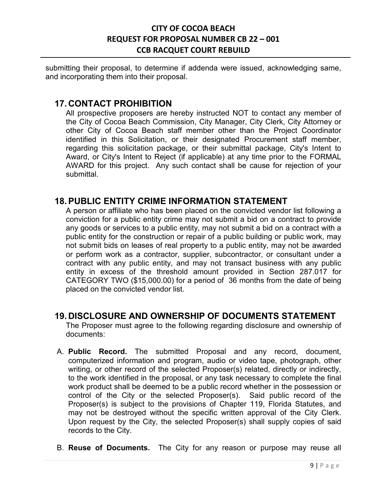submitting their proposal, to determine if addenda were issued, acknowledging same, and incorporating them into their proposal.

### **17. CONTACT PROHIBITION**

All prospective proposers are hereby instructed NOT to contact any member of the City of Cocoa Beach Commission, City Manager, City Clerk, City Attorney or other City of Cocoa Beach staff member other than the Project Coordinator identified in this Solicitation, or their designated Procurement staff member, regarding this solicitation package, or their submittal package, City's Intent to Award, or City's Intent to Reject (if applicable) at any time prior to the FORMAL AWARD for this project. Any such contact shall be cause for rejection of your submittal.

### **18.PUBLIC ENTITY CRIME INFORMATION STATEMENT**

A person or affiliate who has been placed on the convicted vendor list following a conviction for a public entity crime may not submit a bid on a contract to provide any goods or services to a public entity, may not submit a bid on a contract with a public entity for the construction or repair of a public building or public work, may not submit bids on leases of real property to a public entity, may not be awarded or perform work as a contractor, supplier, subcontractor, or consultant under a contract with any public entity, and may not transact business with any public entity in excess of the threshold amount provided in Section 287.017 for CATEGORY TWO (\$15,000.00) for a period of 36 months from the date of being placed on the convicted vendor list.

### **19. DISCLOSURE AND OWNERSHIP OF DOCUMENTS STATEMENT**

The Proposer must agree to the following regarding disclosure and ownership of documents:

- A. **Public Record.** The submitted Proposal and any record, document, computerized information and program, audio or video tape, photograph, other writing, or other record of the selected Proposer(s) related, directly or indirectly, to the work identified in the proposal, or any task necessary to complete the final work product shall be deemed to be a public record whether in the possession or control of the City or the selected Proposer(s). Said public record of the Proposer(s) is subject to the provisions of Chapter 119, Florida Statutes, and may not be destroyed without the specific written approval of the City Clerk. Upon request by the City, the selected Proposer(s) shall supply copies of said records to the City.
- B. **Reuse of Documents.** The City for any reason or purpose may reuse all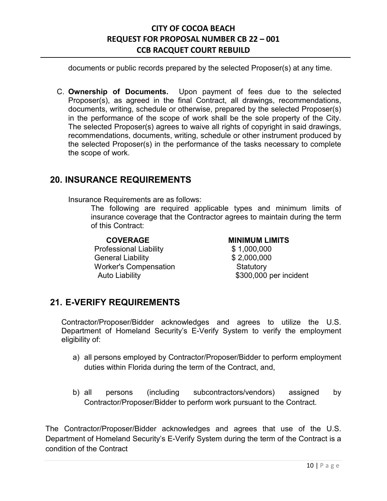documents or public records prepared by the selected Proposer(s) at any time.

C. **Ownership of Documents.** Upon payment of fees due to the selected Proposer(s), as agreed in the final Contract, all drawings, recommendations, documents, writing, schedule or otherwise, prepared by the selected Proposer(s) in the performance of the scope of work shall be the sole property of the City. The selected Proposer(s) agrees to waive all rights of copyright in said drawings, recommendations, documents, writing, schedule or other instrument produced by the selected Proposer(s) in the performance of the tasks necessary to complete the scope of work.

### **20. INSURANCE REQUIREMENTS**

Insurance Requirements are as follows:

The following are required applicable types and minimum limits of insurance coverage that the Contractor agrees to maintain during the term of this Contract:

Professional Liability  $$ 1,000,000$ General Liability  $$2,000,000$ Worker's Compensation **Statutory** Auto Liability **\$300,000** per incident

### **COVERAGE MINIMUM LIMITS**

### **21. E-VERIFY REQUIREMENTS**

Contractor/Proposer/Bidder acknowledges and agrees to utilize the U.S. Department of Homeland Security's E-Verify System to verify the employment eligibility of:

- a) all persons employed by Contractor/Proposer/Bidder to perform employment duties within Florida during the term of the Contract, and,
- b) all persons (including subcontractors/vendors) assigned by Contractor/Proposer/Bidder to perform work pursuant to the Contract.

The Contractor/Proposer/Bidder acknowledges and agrees that use of the U.S. Department of Homeland Security's E-Verify System during the term of the Contract is a condition of the Contract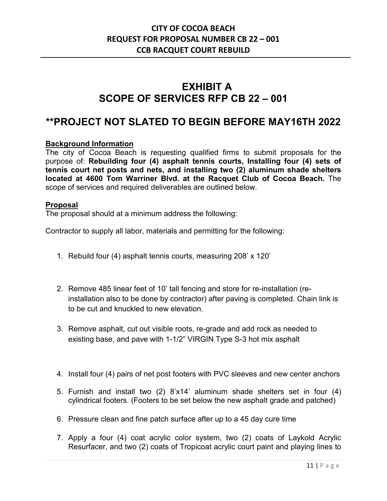# **EXHIBIT A SCOPE OF SERVICES RFP CB 22 – 001**

## **\*\*PROJECT NOT SLATED TO BEGIN BEFORE MAY16TH 2022**

### **Background Information**

The city of Cocoa Beach is requesting qualified firms to submit proposals for the purpose of: **Rebuilding four (4) asphalt tennis courts, Installing four (4) sets of tennis court net posts and nets, and installing two (2) aluminum shade shelters located at 4600 Tom Warriner Blvd. at the Racquet Club of Cocoa Beach.** The scope of services and required deliverables are outlined below.

### **Proposal**

The proposal should at a minimum address the following:

Contractor to supply all labor, materials and permitting for the following:

- 1. Rebuild four (4) asphalt tennis courts, measuring 208' x 120'
- 2. Remove 485 linear feet of 10' tall fencing and store for re-installation (reinstallation also to be done by contractor) after paving is completed. Chain link is to be cut and knuckled to new elevation.
- 3. Remove asphalt, cut out visible roots, re-grade and add rock as needed to existing base, and pave with 1-1/2" VIRGIN Type S-3 hot mix asphalt
- 4. Install four (4) pairs of net post footers with PVC sleeves and new center anchors
- 5. Furnish and install two (2) 8'x14' aluminum shade shelters set in four (4) cylindrical footers. (Footers to be set below the new asphalt grade and patched)
- 6. Pressure clean and fine patch surface after up to a 45 day cure time
- 7. Apply a four (4) coat acrylic color system, two (2) coats of Laykold Acrylic Resurfacer, and two (2) coats of Tropicoat acrylic court paint and playing lines to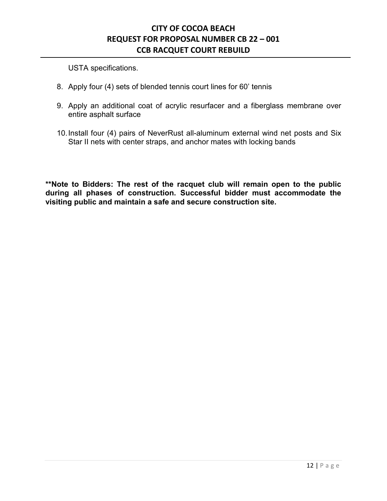USTA specifications.

- 8. Apply four (4) sets of blended tennis court lines for 60' tennis
- 9. Apply an additional coat of acrylic resurfacer and a fiberglass membrane over entire asphalt surface
- 10.Install four (4) pairs of NeverRust all-aluminum external wind net posts and Six Star II nets with center straps, and anchor mates with locking bands

**\*\*Note to Bidders: The rest of the racquet club will remain open to the public during all phases of construction. Successful bidder must accommodate the visiting public and maintain a safe and secure construction site.**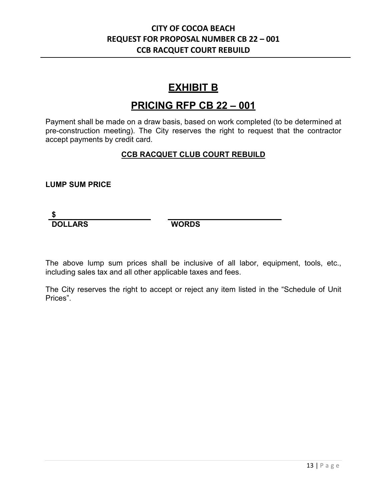## **EXHIBIT B**

## **PRICING RFP CB 22 – 001**

Payment shall be made on a draw basis, based on work completed (to be determined at pre-construction meeting). The City reserves the right to request that the contractor accept payments by credit card.

### **CCB RACQUET CLUB COURT REBUILD**

### **LUMP SUM PRICE**

### **\$ DOLLARS WORDS**

The above lump sum prices shall be inclusive of all labor, equipment, tools, etc., including sales tax and all other applicable taxes and fees.

The City reserves the right to accept or reject any item listed in the "Schedule of Unit Prices".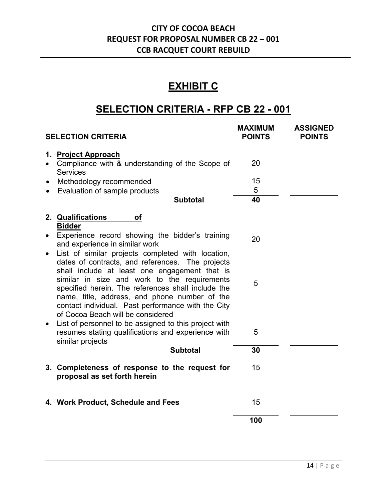# **EXHIBIT C**

# **SELECTION CRITERIA - RFP CB 22 - 001**

|           | <b>SELECTION CRITERIA</b>                                                                                                                                                                                                                | <b>MAXIMUM</b><br><b>POINTS</b> | <b>ASSIGNED</b><br><b>POINTS</b> |
|-----------|------------------------------------------------------------------------------------------------------------------------------------------------------------------------------------------------------------------------------------------|---------------------------------|----------------------------------|
|           | 1. Project Approach<br>Compliance with & understanding of the Scope of<br><b>Services</b>                                                                                                                                                | 20                              |                                  |
| $\bullet$ | Methodology recommended                                                                                                                                                                                                                  | 15                              |                                  |
| $\bullet$ | Evaluation of sample products                                                                                                                                                                                                            | 5                               |                                  |
|           | <b>Subtotal</b>                                                                                                                                                                                                                          | 40                              |                                  |
|           | 2. Qualifications<br>Οf<br><b>Bidder</b><br>Experience record showing the bidder's training                                                                                                                                              | 20                              |                                  |
|           | and experience in similar work<br>List of similar projects completed with location,<br>dates of contracts, and references. The projects<br>shall include at least one engagement that is<br>similar in size and work to the requirements |                                 |                                  |
|           | specified herein. The references shall include the<br>name, title, address, and phone number of the<br>contact individual. Past performance with the City<br>of Cocoa Beach will be considered                                           | 5                               |                                  |
|           | List of personnel to be assigned to this project with<br>resumes stating qualifications and experience with<br>similar projects                                                                                                          | 5                               |                                  |
|           | <b>Subtotal</b>                                                                                                                                                                                                                          | 30                              |                                  |
|           | 3. Completeness of response to the request for<br>proposal as set forth herein                                                                                                                                                           | 15                              |                                  |
|           | 4. Work Product, Schedule and Fees                                                                                                                                                                                                       | 15                              |                                  |
|           |                                                                                                                                                                                                                                          | 100                             |                                  |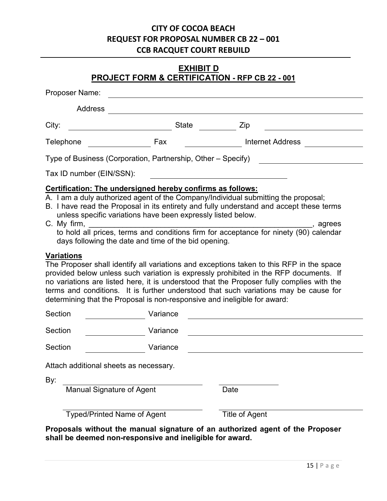### **EXHIBIT D PROJECT FORM & CERTIFICATION - RFP CB 22 - 001**

| Proposer Name:                                |                                                                                                                                                                                    |                                                                                                                                                                                                                                                                                                                                                                        |
|-----------------------------------------------|------------------------------------------------------------------------------------------------------------------------------------------------------------------------------------|------------------------------------------------------------------------------------------------------------------------------------------------------------------------------------------------------------------------------------------------------------------------------------------------------------------------------------------------------------------------|
| <b>Address</b>                                |                                                                                                                                                                                    |                                                                                                                                                                                                                                                                                                                                                                        |
| City:                                         | <b>State</b>                                                                                                                                                                       | Zip                                                                                                                                                                                                                                                                                                                                                                    |
| Telephone                                     | Fax                                                                                                                                                                                | <b>Internet Address</b>                                                                                                                                                                                                                                                                                                                                                |
|                                               | Type of Business (Corporation, Partnership, Other – Specify)                                                                                                                       |                                                                                                                                                                                                                                                                                                                                                                        |
| Tax ID number (EIN/SSN):                      |                                                                                                                                                                                    |                                                                                                                                                                                                                                                                                                                                                                        |
| C. My firm,                                   | Certification: The undersigned hereby confirms as follows:<br>unless specific variations have been expressly listed below.<br>days following the date and time of the bid opening. | A. I am a duly authorized agent of the Company/Individual submitting the proposal;<br>B. I have read the Proposal in its entirety and fully understand and accept these terms<br><sub>,</sub> agrees                                                                                                                                                                   |
| <b>Variations</b>                             | determining that the Proposal is non-responsive and ineligible for award:                                                                                                          | The Proposer shall identify all variations and exceptions taken to this RFP in the space<br>provided below unless such variation is expressly prohibited in the RFP documents. If<br>no variations are listed here, it is understood that the Proposer fully complies with the<br>terms and conditions. It is further understood that such variations may be cause for |
| Section                                       | Variance                                                                                                                                                                           |                                                                                                                                                                                                                                                                                                                                                                        |
| Section                                       | Variance                                                                                                                                                                           |                                                                                                                                                                                                                                                                                                                                                                        |
| Section                                       | Variance                                                                                                                                                                           |                                                                                                                                                                                                                                                                                                                                                                        |
| Attach additional sheets as necessary.<br>By: |                                                                                                                                                                                    |                                                                                                                                                                                                                                                                                                                                                                        |
| <b>Manual Signature of Agent</b>              |                                                                                                                                                                                    | Date                                                                                                                                                                                                                                                                                                                                                                   |
|                                               | <b>Typed/Printed Name of Agent</b>                                                                                                                                                 | Title of Agent                                                                                                                                                                                                                                                                                                                                                         |

**Proposals without the manual signature of an authorized agent of the Proposer shall be deemed non-responsive and ineligible for award.**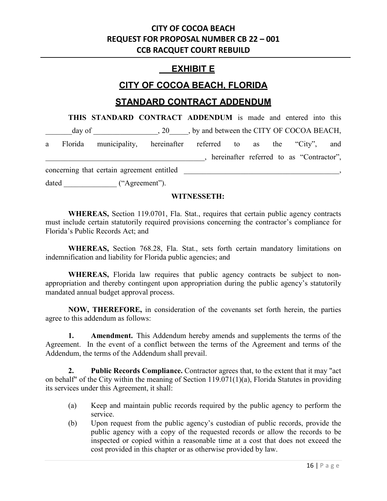### **EXHIBIT E**

### **CITY OF COCOA BEACH, FLORIDA**

### **STANDARD CONTRACT ADDENDUM**

**THIS STANDARD CONTRACT ADDENDUM** is made and entered into this day of \_\_\_\_\_\_\_\_\_\_\_\_\_\_\_\_\_, 20\_\_\_\_\_, by and between the CITY OF COCOA BEACH, a Florida municipality, hereinafter referred to as the "City", and \_\_\_\_\_\_\_\_\_\_\_\_\_\_\_\_\_\_\_\_\_\_\_\_\_\_\_\_\_\_\_\_\_\_\_\_\_\_\_\_\_\_, hereinafter referred to as "Contractor", concerning that certain agreement entitled \_\_\_\_\_\_\_\_\_\_\_\_\_\_\_\_\_\_\_\_\_\_\_\_\_\_\_\_\_\_\_\_\_\_\_\_\_\_\_\_\_, dated  $($ "Agreement").

### **WITNESSETH:**

**WHEREAS,** Section 119.0701, Fla. Stat., requires that certain public agency contracts must include certain statutorily required provisions concerning the contractor's compliance for Florida's Public Records Act; and

**WHEREAS,** Section 768.28, Fla. Stat., sets forth certain mandatory limitations on indemnification and liability for Florida public agencies; and

**WHEREAS,** Florida law requires that public agency contracts be subject to nonappropriation and thereby contingent upon appropriation during the public agency's statutorily mandated annual budget approval process.

**NOW, THEREFORE,** in consideration of the covenants set forth herein, the parties agree to this addendum as follows:

**1. Amendment.** This Addendum hereby amends and supplements the terms of the Agreement. In the event of a conflict between the terms of the Agreement and terms of the Addendum, the terms of the Addendum shall prevail.

**2. Public Records Compliance.** Contractor agrees that, to the extent that it may "act on behalf" of the City within the meaning of Section 119.071(1)(a), Florida Statutes in providing its services under this Agreement, it shall:

- (a) Keep and maintain public records required by the public agency to perform the service.
- (b) Upon request from the public agency's custodian of public records, provide the public agency with a copy of the requested records or allow the records to be inspected or copied within a reasonable time at a cost that does not exceed the cost provided in this chapter or as otherwise provided by law.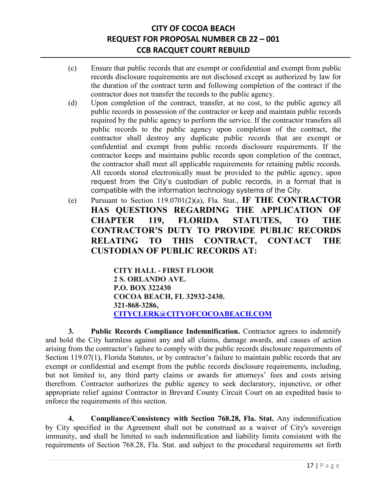- (c) Ensure that public records that are exempt or confidential and exempt from public records disclosure requirements are not disclosed except as authorized by law for the duration of the contract term and following completion of the contract if the contractor does not transfer the records to the public agency.
- (d) Upon completion of the contract, transfer, at no cost, to the public agency all public records in possession of the contractor or keep and maintain public records required by the public agency to perform the service. If the contractor transfers all public records to the public agency upon completion of the contract, the contractor shall destroy any duplicate public records that are exempt or confidential and exempt from public records disclosure requirements. If the contractor keeps and maintains public records upon completion of the contract, the contractor shall meet all applicable requirements for retaining public records. All records stored electronically must be provided to the public agency, upon request from the City's custodian of public records, in a format that is compatible with the information technology systems of the City.
- (e) Pursuant to Section 119.0701(2)(a), Fla. Stat., **IF THE CONTRACTOR HAS QUESTIONS REGARDING THE APPLICATION OF CHAPTER 119, FLORIDA STATUTES, TO THE CONTRACTOR'S DUTY TO PROVIDE PUBLIC RECORDS RELATING TO THIS CONTRACT, CONTACT THE CUSTODIAN OF PUBLIC RECORDS AT:**

**CITY HALL - FIRST FLOOR 2 S. ORLANDO AVE. P.O. BOX 322430 COCOA BEACH, FL 32932-2430. 321-868-3286, [CITYCLERK@CITYOFCOCOABEACH.COM](mailto:CITYCLERK@CITYOFCOCOABEACH.COM)**

**3. Public Records Compliance Indemnification.** Contractor agrees to indemnify and hold the City harmless against any and all claims, damage awards, and causes of action arising from the contractor's failure to comply with the public records disclosure requirements of Section 119.07(1), Florida Statutes, or by contractor's failure to maintain public records that are exempt or confidential and exempt from the public records disclosure requirements, including, but not limited to, any third party claims or awards for attorneys' fees and costs arising therefrom. Contractor authorizes the public agency to seek declaratory, injunctive, or other appropriate relief against Contractor in Brevard County Circuit Court on an expedited basis to enforce the requirements of this section.

**4. Compliance/Consistency with Section 768.28, Fla. Stat.** Any indemnification by City specified in the Agreement shall not be construed as a waiver of City's sovereign immunity, and shall be limited to such indemnification and liability limits consistent with the requirements of Section 768.28, Fla. Stat. and subject to the procedural requirements set forth